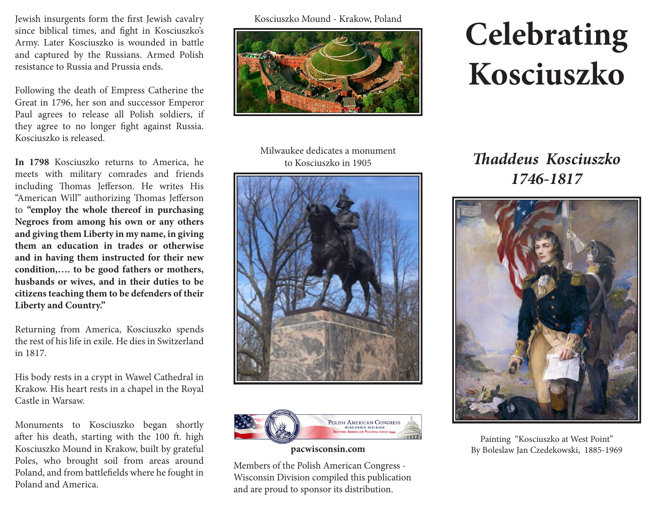Jewish insurgents form the frst Jewish cavalry since biblical times, and fght in Kosciuszko's Army. Later Kosciuszko is wounded in battle and captured by the Russians. Armed Polish resistance to Russia and Prussia ends.

Following the death of Empress Catherine the Great in 1796, her son and successor Emperor Paul agrees to release all Polish soldiers, if they agree to no longer fght against Russia. Kosciuszko is released.

**In 1798** Kosciuszko returns to America, he meets with military comrades and friends including Thomas Jefferson. He writes His "American Will" authorizing Thomas Jefferson to **"employ the whole thereof in purchasing Negroes from among his own or any others and giving them Liberty in my name, in giving them an education in trades or otherwise and in having them instructed for their new condition,…. to be good fathers or mothers, husbands or wives, and in their duties to be citizens teaching them to be defenders of their Liberty and Country."**

Returning from America, Kosciuszko spends the rest of his life in exile. He dies in Switzerland in 1817.

His body rests in a crypt in Wawel Cathedral in Krakow. His heart rests in a chapel in the Royal Castle in Warsaw.

Monuments to Kosciuszko began shortly after his death, starting with the 100 ft. high Kosciuszko Mound in Krakow, built by grateful Poles, who brought soil from areas around Poland, and from battlefelds where he fought in Poland and America.

Kosciuszko Mound - Krakow, Poland



## **Celebrating Kosciuszko**

Milwaukee dedicates a monument to Kosciuszko in 1905





## **pacwisconsin.com**

Members of the Polish American Congress - Wisconsin Division compiled this publication and are proud to sponsor its distribution.

**T***addeus Kosciuszko 1746-1817*



Painting "Kosciuszko at West Point" By Boleslaw Jan Czedekowski, 1885-1969